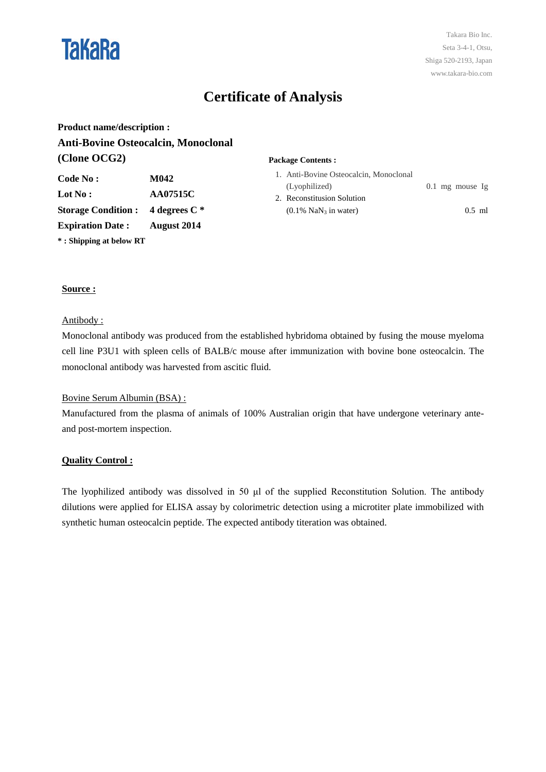

# **Certificate of Analysis**

**Product name/description : Anti-Bovine Osteocalcin, Monoclonal (Clone OCG2) Package Contents :**

| Code No :                  | M042            |
|----------------------------|-----------------|
| Lot No :                   | <b>AA07515C</b> |
| <b>Storage Condition :</b> | 4 degrees $C^*$ |
| <b>Expiration Date:</b>    | August 2014     |
| *: Shipping at below RT    |                 |

| 1. Anti-Bovine Osteocalcin, Monoclonal |  |                   |  |
|----------------------------------------|--|-------------------|--|
| (Lyophilized)                          |  | $0.1$ mg mouse Ig |  |
| 2. Reconstitusion Solution             |  |                   |  |
| $(0.1\%$ NaN <sub>3</sub> in water)    |  | $0.5$ ml          |  |

# **Source :**

#### Antibody :

Monoclonal antibody was produced from the established hybridoma obtained by fusing the mouse myeloma cell line P3U1 with spleen cells of BALB/c mouse after immunization with bovine bone osteocalcin. The monoclonal antibody was harvested from ascitic fluid.

## Bovine Serum Albumin (BSA) :

Manufactured from the plasma of animals of 100% Australian origin that have undergone veterinary anteand post-mortem inspection.

## **Quality Control :**

The lyophilized antibody was dissolved in 50 μl of the supplied Reconstitution Solution. The antibody dilutions were applied for ELISA assay by colorimetric detection using a microtiter plate immobilized with synthetic human osteocalcin peptide. The expected antibody titeration was obtained.